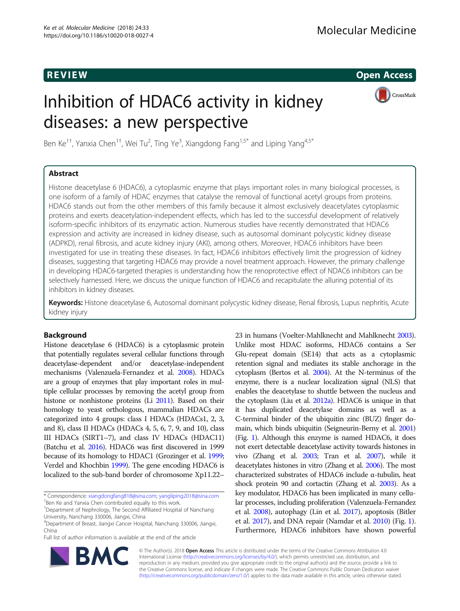**REVIEW CONSTRUCTION CONSTRUCTION CONSTRUCTS** 

# Inhibition of HDAC6 activity in kidney diseases: a new perspective



Ben Ke<sup>1+</sup>, Yanxia Chen<sup>1+</sup>, Wei Tu<sup>2</sup>, Ting Ye<sup>3</sup>, Xiangdong Fang<sup>1,5\*</sup> and Liping Yang<sup>4,5\*</sup>

# Abstract

Histone deacetylase 6 (HDAC6), a cytoplasmic enzyme that plays important roles in many biological processes, is one isoform of a family of HDAC enzymes that catalyse the removal of functional acetyl groups from proteins. HDAC6 stands out from the other members of this family because it almost exclusively deacetylates cytoplasmic proteins and exerts deacetylation-independent effects, which has led to the successful development of relatively isoform-specific inhibitors of its enzymatic action. Numerous studies have recently demonstrated that HDAC6 expression and activity are increased in kidney disease, such as autosomal dominant polycystic kidney disease (ADPKD), renal fibrosis, and acute kidney injury (AKI), among others. Moreover, HDAC6 inhibitors have been investigated for use in treating these diseases. In fact, HDAC6 inhibitors effectively limit the progression of kidney diseases, suggesting that targeting HDAC6 may provide a novel treatment approach. However, the primary challenge in developing HDAC6-targeted therapies is understanding how the renoprotective effect of NDAC6 inhibitors can be selectively harnessed. Here, we discuss the unique function of HDAC6 and recapitulate the alluring potential of its inhibitors in kidney diseases.

Keywords: Histone deacetylase 6, Autosomal dominant polycystic kidney disease, Renal fibrosis, Lupus nephritis, Acute kidney injury

# Background

Histone deacetylase 6 (HDAC6) is a cytoplasmic protein that potentially regulates several cellular functions through deacetylase-dependent and/or deacetylase-independent mechanisms (Valenzuela-Fernandez et al. [2008](#page-5-0)). HDACs are a group of enzymes that play important roles in multiple cellular processes by removing the acetyl group from histone or nonhistone proteins (Li [2011\)](#page-5-0). Based on their homology to yeast orthologous, mammalian HDACs are categorized into 4 groups: class I HDACs (HDACs1, 2, 3, and 8), class II HDACs (HDACs 4, 5, 6, 7, 9, and 10), class III HDACs (SIRT1–7), and class IV HDACs (HDAC11) (Batchu et al. [2016](#page-4-0)). HDAC6 was first discovered in 1999 because of its homology to HDAC1 (Grozinger et al. [1999](#page-5-0); Verdel and Khochbin [1999](#page-5-0)). The gene encoding HDAC6 is localized to the sub-band border of chromosome Xp11.22–

\* Correspondence: [xiangdongfang818@sina.com;](mailto:xiangdongfang818@sina.com) [yangliping2018@sina.com](mailto:yangliping2018@sina.com) † <sup>+</sup>Ben Ke and Yanxia Chen contributed equally to this work.

Full list of author information is available at the end of the article

23 in humans (Voelter-Mahlknecht and Mahlknecht [2003](#page-5-0)). Unlike most HDAC isoforms, HDAC6 contains a Ser Glu-repeat domain (SE14) that acts as a cytoplasmic retention signal and mediates its stable anchorage in the cytoplasm (Bertos et al. [2004](#page-4-0)). At the N-terminus of the enzyme, there is a nuclear localization signal (NLS) that enables the deacetylase to shuttle between the nucleus and the cytoplasm (Liu et al. [2012a](#page-5-0)). HDAC6 is unique in that it has duplicated deacetylase domains as well as a C-terminal binder of the ubiquitin zinc (BUZ) finger domain, which binds ubiquitin (Seigneurin-Berny et al. [2001](#page-5-0)) (Fig. [1](#page-1-0)). Although this enzyme is named HDAC6, it does not exert detectable deacetylase activity towards histones in vivo (Zhang et al. [2003;](#page-5-0) Tran et al. [2007\)](#page-5-0), while it deacetylates histones in vitro (Zhang et al. [2006](#page-5-0)). The most characterized substrates of HDAC6 include α-tubulin, heat shock protein 90 and cortactin (Zhang et al. [2003](#page-5-0)). As a key modulator, HDAC6 has been implicated in many cellular processes, including proliferation (Valenzuela-Fernandez et al. [2008](#page-5-0)), autophagy (Lin et al. [2017\)](#page-5-0), apoptosis (Bitler et al. [2017](#page-4-0)), and DNA repair (Namdar et al. [2010](#page-5-0)) (Fig. [1](#page-1-0)). Furthermore, HDAC6 inhibitors have shown powerful



© The Author(s). 2018 Open Access This article is distributed under the terms of the Creative Commons Attribution 4.0 International License [\(http://creativecommons.org/licenses/by/4.0/](http://creativecommons.org/licenses/by/4.0/)), which permits unrestricted use, distribution, and reproduction in any medium, provided you give appropriate credit to the original author(s) and the source, provide a link to the Creative Commons license, and indicate if changes were made. The Creative Commons Public Domain Dedication waiver [\(http://creativecommons.org/publicdomain/zero/1.0/](http://creativecommons.org/publicdomain/zero/1.0/)) applies to the data made available in this article, unless otherwise stated.

<sup>&</sup>lt;sup>1</sup>Department of Nephrology, The Second Affiliated Hospital of Nanchang University, Nanchang 330006, Jiangxi, China

<sup>4</sup> Department of Breast, Jiangxi Cancer Hospital, Nanchang 330006, Jiangxi, China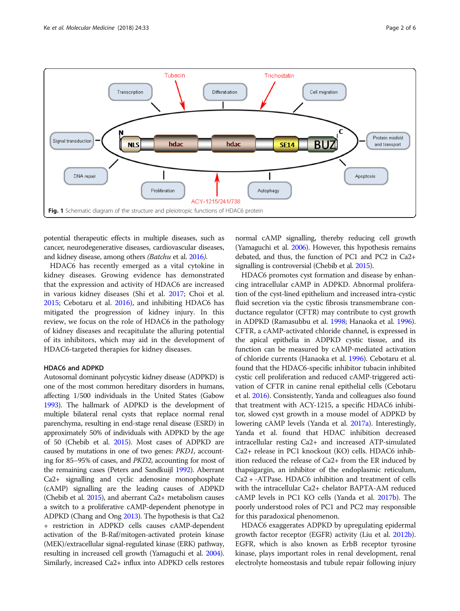<span id="page-1-0"></span>

potential therapeutic effects in multiple diseases, such as cancer, neurodegenerative diseases, cardiovascular diseases, and kidney disease, among others (Batchu et al. [2016](#page-4-0)).

HDAC6 has recently emerged as a vital cytokine in kidney diseases. Growing evidence has demonstrated that the expression and activity of HDAC6 are increased in various kidney diseases (Shi et al. [2017](#page-5-0); Choi et al. [2015](#page-4-0); Cebotaru et al. [2016](#page-4-0)), and inhibiting HDAC6 has mitigated the progression of kidney injury. In this review, we focus on the role of HDAC6 in the pathology of kidney diseases and recapitulate the alluring potential of its inhibitors, which may aid in the development of HDAC6-targeted therapies for kidney diseases.

#### HDAC6 and ADPKD

Autosomal dominant polycystic kidney disease (ADPKD) is one of the most common hereditary disorders in humans, affecting 1/500 individuals in the United States (Gabow [1993\)](#page-4-0). The hallmark of ADPKD is the development of multiple bilateral renal cysts that replace normal renal parenchyma, resulting in end-stage renal disease (ESRD) in approximately 50% of individuals with ADPKD by the age of 50 (Chebib et al. [2015](#page-4-0)). Most cases of ADPKD are caused by mutations in one of two genes: PKD1, accounting for 85–95% of cases, and PKD2, accounting for most of the remaining cases (Peters and Sandkuijl [1992\)](#page-5-0). Aberrant Ca2+ signalling and cyclic adenosine monophosphate (cAMP) signalling are the leading causes of ADPKD (Chebib et al. [2015](#page-4-0)), and aberrant Ca2+ metabolism causes a switch to a proliferative cAMP-dependent phenotype in ADPKD (Chang and Ong [2013\)](#page-4-0). The hypothesis is that Ca2 + restriction in ADPKD cells causes cAMP-dependent activation of the B-Raf/mitogen-activated protein kinase (MEK)/extracellular signal-regulated kinase (ERK) pathway, resulting in increased cell growth (Yamaguchi et al. [2004](#page-5-0)). Similarly, increased Ca2+ influx into ADPKD cells restores normal cAMP signalling, thereby reducing cell growth (Yamaguchi et al. [2006](#page-5-0)). However, this hypothesis remains debated, and thus, the function of PC1 and PC2 in Ca2+ signalling is controversial (Chebib et al. [2015](#page-4-0)).

HDAC6 promotes cyst formation and disease by enhancing intracellular cAMP in ADPKD. Abnormal proliferation of the cyst-lined epithelium and increased intra-cystic fluid secretion via the cystic fibrosis transmembrane conductance regulator (CFTR) may contribute to cyst growth in ADPKD (Ramasubbu et al. [1998](#page-5-0); Hanaoka et al. [1996](#page-5-0)). CFTR, a cAMP-activated chloride channel, is expressed in the apical epithelia in ADPKD cystic tissue, and its function can be measured by cAMP-mediated activation of chloride currents (Hanaoka et al. [1996\)](#page-5-0). Cebotaru et al. found that the HDAC6-specific inhibitor tubacin inhibited cystic cell proliferation and reduced cAMP-triggered activation of CFTR in canine renal epithelial cells (Cebotaru et al. [2016\)](#page-4-0). Consistently, Yanda and colleagues also found that treatment with ACY-1215, a specific HDAC6 inhibitor, slowed cyst growth in a mouse model of ADPKD by lowering cAMP levels (Yanda et al. [2017a\)](#page-5-0). Interestingly, Yanda et al. found that HDAC inhibition decreased intracellular resting Ca2+ and increased ATP-simulated Ca2+ release in PC1 knockout (KO) cells. HDAC6 inhibition reduced the release of Ca2+ from the ER induced by thapsigargin, an inhibitor of the endoplasmic reticulum, Ca2 + -ATPase. HDAC6 inhibition and treatment of cells with the intracellular Ca2+ chelator BAPTA-AM reduced cAMP levels in PC1 KO cells (Yanda et al. [2017b](#page-5-0)). The poorly understood roles of PC1 and PC2 may responsible for this paradoxical phenomenon.

HDAC6 exaggerates ADPKD by upregulating epidermal growth factor receptor (EGFR) activity (Liu et al. [2012b](#page-5-0)). EGFR, which is also known as ErbB receptor tyrosine kinase, plays important roles in renal development, renal electrolyte homeostasis and tubule repair following injury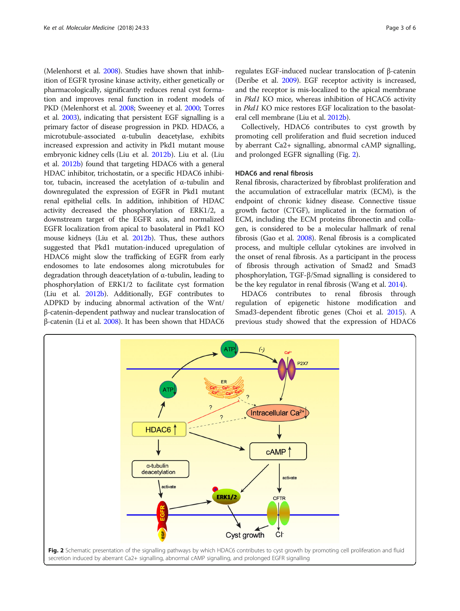(Melenhorst et al. [2008](#page-5-0)). Studies have shown that inhibition of EGFR tyrosine kinase activity, either genetically or pharmacologically, significantly reduces renal cyst formation and improves renal function in rodent models of PKD (Melenhorst et al. [2008](#page-5-0); Sweeney et al. [2000](#page-5-0); Torres et al. [2003\)](#page-5-0), indicating that persistent EGF signalling is a primary factor of disease progression in PKD. HDAC6, a microtubule-associated α-tubulin deacetylase, exhibits increased expression and activity in Pkd1 mutant mouse embryonic kidney cells (Liu et al. [2012b\)](#page-5-0). Liu et al. (Liu et al. [2012b](#page-5-0)) found that targeting HDAC6 with a general HDAC inhibitor, trichostatin, or a specific HDAC6 inhibitor, tubacin, increased the acetylation of α-tubulin and downregulated the expression of EGFR in Pkd1 mutant renal epithelial cells. In addition, inhibition of HDAC activity decreased the phosphorylation of ERK1/2, a downstream target of the EGFR axis, and normalized EGFR localization from apical to basolateral in Pkd1 KO mouse kidneys (Liu et al. [2012b](#page-5-0)). Thus, these authors suggested that Pkd1 mutation-induced upregulation of HDAC6 might slow the trafficking of EGFR from early endosomes to late endosomes along microtubules for degradation through deacetylation of α-tubulin, leading to phosphorylation of ERK1/2 to facilitate cyst formation (Liu et al. [2012b\)](#page-5-0). Additionally, EGF contributes to ADPKD by inducing abnormal activation of the Wnt/ β-catenin-dependent pathway and nuclear translocation of β-catenin (Li et al. [2008](#page-5-0)). It has been shown that HDAC6

regulates EGF-induced nuclear translocation of β-catenin (Deribe et al. [2009](#page-4-0)). EGF receptor activity is increased, and the receptor is mis-localized to the apical membrane in Pkd1 KO mice, whereas inhibition of HCAC6 activity in Pkd1 KO mice restores EGF localization to the basolateral cell membrane (Liu et al. [2012b\)](#page-5-0).

Collectively, HDAC6 contributes to cyst growth by promoting cell proliferation and fluid secretion induced by aberrant Ca2+ signalling, abnormal cAMP signalling, and prolonged EGFR signalling (Fig. 2).

# HDAC6 and renal fibrosis

Renal fibrosis, characterized by fibroblast proliferation and the accumulation of extracellular matrix (ECM), is the endpoint of chronic kidney disease. Connective tissue growth factor (CTGF), implicated in the formation of ECM, including the ECM proteins fibronectin and collagen, is considered to be a molecular hallmark of renal fibrosis (Gao et al. [2008\)](#page-4-0). Renal fibrosis is a complicated process, and multiple cellular cytokines are involved in the onset of renal fibrosis. As a participant in the process of fibrosis through activation of Smad2 and Smad3 phosphorylation, TGF-β/Smad signalling is considered to be the key regulator in renal fibrosis (Wang et al. [2014\)](#page-5-0).

HDAC6 contributes to renal fibrosis through regulation of epigenetic histone modification and Smad3-dependent fibrotic genes (Choi et al. [2015](#page-4-0)). A previous study showed that the expression of HDAC6

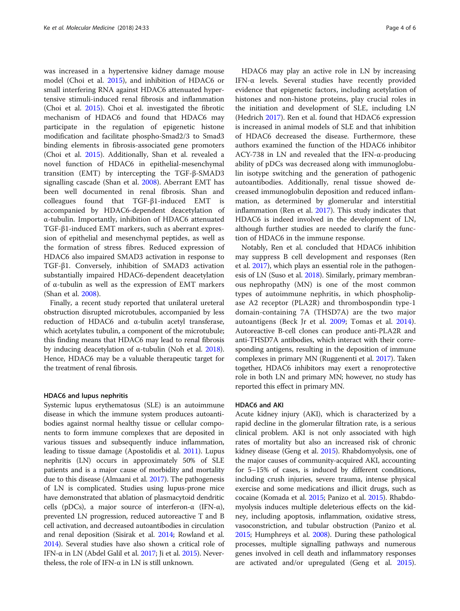was increased in a hypertensive kidney damage mouse model (Choi et al. [2015\)](#page-4-0), and inhibition of HDAC6 or small interfering RNA against HDAC6 attenuated hypertensive stimuli-induced renal fibrosis and inflammation (Choi et al. [2015\)](#page-4-0). Choi et al. investigated the fibrotic mechanism of HDAC6 and found that HDAC6 may participate in the regulation of epigenetic histone modification and facilitate phospho-Smad2/3 to Smad3 binding elements in fibrosis-associated gene promoters (Choi et al. [2015\)](#page-4-0). Additionally, Shan et al. revealed a novel function of HDAC6 in epithelial-mesenchymal transition (EMT) by intercepting the TGF-β-SMAD3 signalling cascade (Shan et al. [2008](#page-5-0)). Aberrant EMT has been well documented in renal fibrosis. Shan and colleagues found that TGF-β1-induced EMT is accompanied by HDAC6-dependent deacetylation of α-tubulin. Importantly, inhibition of HDAC6 attenuated TGF-β1-induced EMT markers, such as aberrant expression of epithelial and mesenchymal peptides, as well as the formation of stress fibres. Reduced expression of HDAC6 also impaired SMAD3 activation in response to TGF-β1. Conversely, inhibition of SMAD3 activation substantially impaired HDAC6-dependent deacetylation of α-tubulin as well as the expression of EMT markers (Shan et al. [2008](#page-5-0)).

Finally, a recent study reported that unilateral ureteral obstruction disrupted microtubules, accompanied by less reduction of HDAC6 and α-tubulin acetyl transferase, which acetylates tubulin, a component of the microtubule; this finding means that HDAC6 may lead to renal fibrosis by inducing deacetylation of α-tubulin (Noh et al. [2018](#page-5-0)). Hence, HDAC6 may be a valuable therapeutic target for the treatment of renal fibrosis.

# HDAC6 and lupus nephritis

Systemic lupus erythematosus (SLE) is an autoimmune disease in which the immune system produces autoantibodies against normal healthy tissue or cellular components to form immune complexes that are deposited in various tissues and subsequently induce inflammation, leading to tissue damage (Apostolidis et al. [2011\)](#page-4-0). Lupus nephritis (LN) occurs in approximately 50% of SLE patients and is a major cause of morbidity and mortality due to this disease (Almaani et al. [2017\)](#page-4-0). The pathogenesis of LN is complicated. Studies using lupus-prone mice have demonstrated that ablation of plasmacytoid dendritic cells (pDCs), a major source of interferon- $\alpha$  (IFN- $\alpha$ ), prevented LN progression, reduced autoreactive T and B cell activation, and decreased autoantibodies in circulation and renal deposition (Sisirak et al. [2014](#page-5-0); Rowland et al. [2014\)](#page-5-0). Several studies have also shown a critical role of IFN- $\alpha$  in LN (Abdel Galil et al. [2017;](#page-4-0) Ji et al. [2015](#page-5-0)). Nevertheless, the role of IFN- $\alpha$  in LN is still unknown.

HDAC6 may play an active role in LN by increasing IFN-α levels. Several studies have recently provided evidence that epigenetic factors, including acetylation of histones and non-histone proteins, play crucial roles in the initiation and development of SLE, including LN (Hedrich [2017\)](#page-5-0). Ren et al. found that HDAC6 expression is increased in animal models of SLE and that inhibition of HDAC6 decreased the disease. Furthermore, these authors examined the function of the HDAC6 inhibitor ACY-738 in LN and revealed that the IFN-α-producing ability of pDCs was decreased along with immunoglobulin isotype switching and the generation of pathogenic autoantibodies. Additionally, renal tissue showed decreased immunoglobulin deposition and reduced inflammation, as determined by glomerular and interstitial inflammation (Ren et al. [2017](#page-5-0)). This study indicates that HDAC6 is indeed involved in the development of LN, although further studies are needed to clarify the function of HDAC6 in the immune response.

Notably, Ren et al. concluded that HDAC6 inhibition may suppress B cell development and responses (Ren et al. [2017](#page-5-0)), which plays an essential role in the pathogenesis of LN (Suso et al. [2018\)](#page-5-0). Similarly, primary membranous nephropathy (MN) is one of the most common types of autoimmune nephritis, in which phospholipase A2 receptor (PLA2R) and thrombospondin type-1 domain-containing 7A (THSD7A) are the two major autoantigens (Beck Jr et al. [2009](#page-4-0); Tomas et al. [2014](#page-5-0)). Autoreactive B-cell clones can produce anti-PLA2R and anti-THSD7A antibodies, which interact with their corresponding antigens, resulting in the deposition of immune complexes in primary MN (Ruggenenti et al. [2017](#page-5-0)). Taken together, HDAC6 inhibitors may exert a renoprotective role in both LN and primary MN; however, no study has reported this effect in primary MN.

#### HDAC6 and AKI

Acute kidney injury (AKI), which is characterized by a rapid decline in the glomerular filtration rate, is a serious clinical problem. AKI is not only associated with high rates of mortality but also an increased risk of chronic kidney disease (Geng et al. [2015\)](#page-5-0). Rhabdomyolysis, one of the major causes of community-acquired AKI, accounting for 5–15% of cases, is induced by different conditions, including crush injuries, severe trauma, intense physical exercise and some medications and illicit drugs, such as cocaine (Komada et al. [2015](#page-5-0); Panizo et al. [2015](#page-5-0)). Rhabdomyolysis induces multiple deleterious effects on the kidney, including apoptosis, inflammation, oxidative stress, vasoconstriction, and tubular obstruction (Panizo et al. [2015;](#page-5-0) Humphreys et al. [2008](#page-5-0)). During these pathological processes, multiple signalling pathways and numerous genes involved in cell death and inflammatory responses are activated and/or upregulated (Geng et al. [2015](#page-5-0)).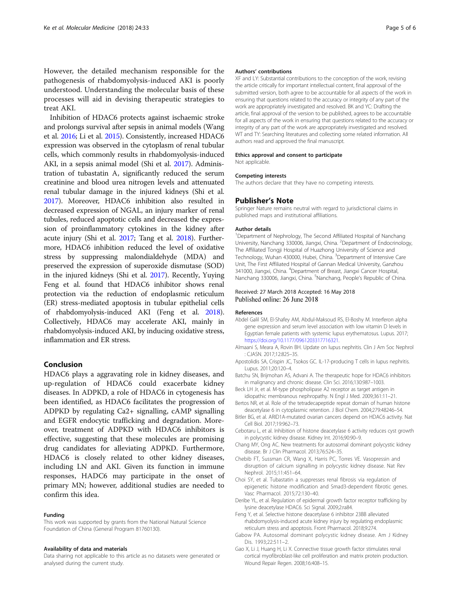<span id="page-4-0"></span>However, the detailed mechanism responsible for the pathogenesis of rhabdomyolysis-induced AKI is poorly understood. Understanding the molecular basis of these processes will aid in devising therapeutic strategies to treat AKI.

Inhibition of HDAC6 protects against ischaemic stroke and prolongs survival after sepsis in animal models (Wang et al. [2016](#page-5-0); Li et al. [2015](#page-5-0)). Consistently, increased HDAC6 expression was observed in the cytoplasm of renal tubular cells, which commonly results in rhabdomyolysis-induced AKI, in a sepsis animal model (Shi et al. [2017](#page-5-0)). Administration of tubastatin A, significantly reduced the serum creatinine and blood urea nitrogen levels and attenuated renal tubular damage in the injured kidneys (Shi et al. [2017\)](#page-5-0). Moreover, HDAC6 inhibition also resulted in decreased expression of NGAL, an injury marker of renal tubules, reduced apoptotic cells and decreased the expression of proinflammatory cytokines in the kidney after acute injury (Shi et al. [2017;](#page-5-0) Tang et al. [2018\)](#page-5-0). Furthermore, HDAC6 inhibition reduced the level of oxidative stress by suppressing malondialdehyde (MDA) and preserved the expression of superoxide dismutase (SOD) in the injured kidneys (Shi et al. [2017\)](#page-5-0). Recently, Yuying Feng et al. found that HDAC6 inhibitor shows renal protection via the reduction of endoplasmic reticulum (ER) stress-mediated apoptosis in tubular epithelial cells of rhabdomyolysis-induced AKI (Feng et al. 2018). Collectively, HDAC6 may accelerate AKI, mainly in rhabdomyolysis-induced AKI, by inducing oxidative stress, inflammation and ER stress.

# Conclusion

HDAC6 plays a aggravating role in kidney diseases, and up-regulation of HDAC6 could exacerbate kidney diseases. In ADPKD, a role of HDAC6 in cytogenesis has been identified, as HDAC6 facilitates the progression of ADPKD by regulating Ca2+ signalling, cAMP signalling and EGFR endocytic trafficking and degradation. Moreover, treatment of ADPKD with HDAC6 inhibitors is effective, suggesting that these molecules are promising drug candidates for alleviating ADPKD. Furthermore, HDAC6 is closely related to other kidney diseases, including LN and AKI. Given its function in immune responses, HADC6 may participate in the onset of primary MN; however, additional studies are needed to confirm this idea.

#### Funding

This work was supported by grants from the National Natural Science Foundation of China (General Program 81760130).

#### Availability of data and materials

Data sharing not applicable to this article as no datasets were generated or analysed during the current study.

#### Authors' contributions

XF and LY: Substantial contributions to the conception of the work, revising the article critically for important intellectual content, final approval of the submitted version, both agree to be accountable for all aspects of the work in ensuring that questions related to the accuracy or integrity of any part of the work are appropriately investigated and resolved. BK and YC: Drafting the article, final approval of the version to be published, agrees to be accountable for all aspects of the work in ensuring that questions related to the accuracy or integrity of any part of the work are appropriately investigated and resolved. WT and TY: Searching literatures and collecting some related information. All authors read and approved the final manuscript.

#### Ethics approval and consent to participate Not applicable.

#### Competing interests

The authors declare that they have no competing interests.

#### Publisher's Note

Springer Nature remains neutral with regard to jurisdictional claims in published maps and institutional affiliations.

#### Author details

<sup>1</sup>Department of Nephrology, The Second Affiliated Hospital of Nanchang University, Nanchang 330006, Jiangxi, China. <sup>2</sup>Department of Endocrinology, The Affiliated Tongji Hospital of Huazhong University of Science and Technology, Wuhan 430000, Hubei, China. <sup>3</sup>Department of Intensive Care Unit, The First Affiliated Hospital of Gannan Medical University, Ganzhou 341000, Jiangxi, China. <sup>4</sup>Department of Breast, Jiangxi Cancer Hospital Nanchang 330006, Jiangxi, China. <sup>5</sup>Nanchang, People's Republic of China

### Received: 27 March 2018 Accepted: 16 May 2018 Published online: 26 June 2018

#### References

- Abdel Galil SM, El-Shafey AM, Abdul-Maksoud RS, El-Boshy M. Interferon alpha gene expression and serum level association with low vitamin D levels in Egyptian female patients with systemic lupus erythematosus. Lupus. 2017; [https://doi.org/10.1177/0961203317716321.](https://doi.org/10.1177/0961203317716321)
- Almaani S, Meara A, Rovin BH. Update on lupus nephritis. Clin J Am Soc Nephrol : CJASN. 2017;12:825–35.
- Apostolidis SA, Crispin JC, Tsokos GC. IL-17-producing T cells in lupus nephritis. Lupus. 2011;20:120–4.
- Batchu SN, Brijmohan AS, Advani A. The therapeutic hope for HDAC6 inhibitors in malignancy and chronic disease. Clin Sci. 2016;130:987–1003.
- Beck LH Jr, et al. M-type phospholipase A2 receptor as target antigen in idiopathic membranous nephropathy. N Engl J Med. 2009;361:11–21.
- Bertos NR, et al. Role of the tetradecapeptide repeat domain of human histone deacetylase 6 in cytoplasmic retention. J Biol Chem. 2004;279:48246–54.
- Bitler BG, et al. ARID1A-mutated ovarian cancers depend on HDAC6 activity. Nat Cell Biol. 2017;19:962–73.
- Cebotaru L, et al. Inhibition of histone deacetylase 6 activity reduces cyst growth in polycystic kidney disease. Kidney Int. 2016;90:90–9.
- Chang MY, Ong AC. New treatments for autosomal dominant polycystic kidney disease. Br J Clin Pharmacol. 2013;76:524–35.
- Chebib FT, Sussman CR, Wang X, Harris PC, Torres VE. Vasopressin and disruption of calcium signalling in polycystic kidney disease. Nat Rev Nephrol. 2015;11:451–64.
- Choi SY, et al. Tubastatin a suppresses renal fibrosis via regulation of epigenetic histone modification and Smad3-dependent fibrotic genes. Vasc Pharmacol. 2015;72:130–40.
- Deribe YL, et al. Regulation of epidermal growth factor receptor trafficking by lysine deacetylase HDAC6. Sci Signal. 2009;2:ra84.
- Feng Y, et al. Selective histone deacetylase 6 inhibitor 23BB alleviated rhabdomyolysis-induced acute kidney injury by regulating endoplasmic reticulum stress and apoptosis. Front Pharmacol. 2018;9:274.
- Gabow PA. Autosomal dominant polycystic kidney disease. Am J Kidney Dis. 1993;22:511–2.
- Gao X, Li J, Huang H, Li X. Connective tissue growth factor stimulates renal cortical myofibroblast-like cell proliferation and matrix protein production. Wound Repair Regen. 2008;16:408–15.